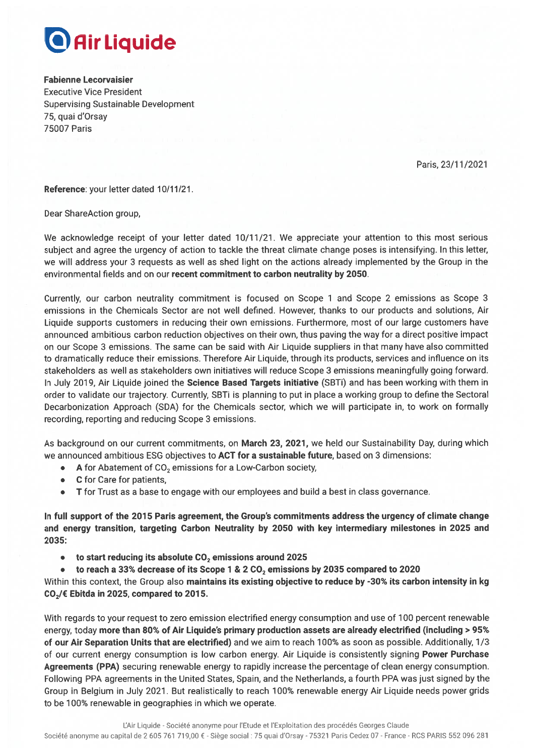

**Fabienne Lecorvaisier Executive Vice President Supervising Sustainable Development** 75, quai d'Orsay **75007 Paris** 

Paris. 23/11/2021

Reference: your letter dated 10/11/21.

Dear ShareAction group,

We acknowledge receipt of your letter dated 10/11/21. We appreciate your attention to this most serious subject and agree the urgency of action to tackle the threat climate change poses is intensifying. In this letter, we will address your 3 requests as well as shed light on the actions already implemented by the Group in the environmental fields and on our recent commitment to carbon neutrality by 2050.

Currently, our carbon neutrality commitment is focused on Scope 1 and Scope 2 emissions as Scope 3 emissions in the Chemicals Sector are not well defined. However, thanks to our products and solutions, Air Liquide supports customers in reducing their own emissions. Furthermore, most of our large customers have announced ambitious carbon reduction objectives on their own, thus paving the way for a direct positive impact on our Scope 3 emissions. The same can be said with Air Liquide suppliers in that many have also committed to dramatically reduce their emissions. Therefore Air Liquide, through its products, services and influence on its stakeholders as well as stakeholders own initiatives will reduce Scope 3 emissions meaningfully going forward. In July 2019, Air Liquide joined the Science Based Targets initiative (SBTi) and has been working with them in order to validate our trajectory. Currently, SBTi is planning to put in place a working group to define the Sectoral Decarbonization Approach (SDA) for the Chemicals sector, which we will participate in, to work on formally recording, reporting and reducing Scope 3 emissions.

As background on our current commitments, on March 23, 2021, we held our Sustainability Day, during which we announced ambitious ESG objectives to ACT for a sustainable future, based on 3 dimensions:

A for Abatement of CO<sub>2</sub> emissions for a Low-Carbon society,  $\bullet$ 

- $\bullet$ C for Care for patients.
- T for Trust as a base to engage with our employees and build a best in class governance.  $\bullet$

In full support of the 2015 Paris agreement, the Group's commitments address the urgency of climate change and energy transition, targeting Carbon Neutrality by 2050 with key intermediary milestones in 2025 and 2035:

- to start reducing its absolute CO<sub>2</sub> emissions around 2025  $\bullet$
- $\bullet$ to reach a 33% decrease of its Scope 1 & 2 CO<sub>2</sub> emissions by 2035 compared to 2020

Within this context, the Group also maintains its existing objective to reduce by -30% its carbon intensity in kg CO<sub>2</sub>/€ Ebitda in 2025, compared to 2015.

With regards to your request to zero emission electrified energy consumption and use of 100 percent renewable energy, today more than 80% of Air Liquide's primary production assets are already electrified (including > 95% of our Air Separation Units that are electrified) and we aim to reach 100% as soon as possible. Additionally, 1/3 of our current energy consumption is low carbon energy. Air Liquide is consistently signing Power Purchase Agreements (PPA) securing renewable energy to rapidly increase the percentage of clean energy consumption. Following PPA agreements in the United States, Spain, and the Netherlands, a fourth PPA was just signed by the Group in Belgium in July 2021. But realistically to reach 100% renewable energy Air Liquide needs power grids to be 100% renewable in geographies in which we operate.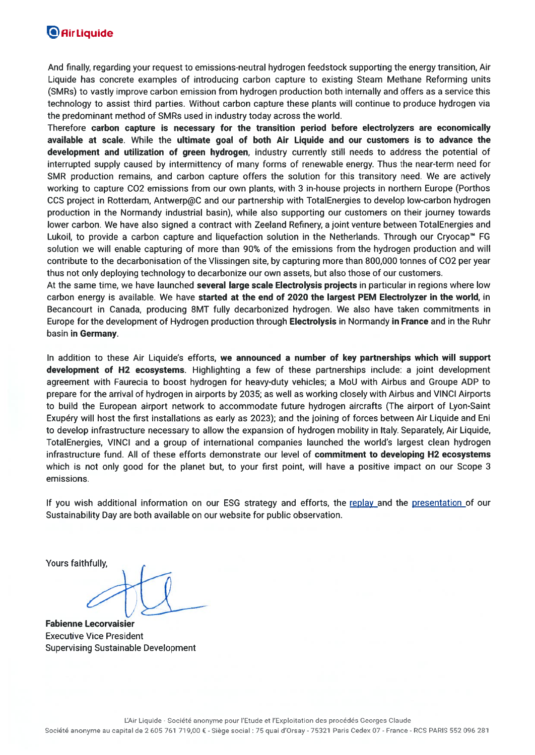### **O**AirLiquide

And finally, regarding your request to emissions-neutral hydrogen feedstock supporting the energy transition, Air Liquide has concrete examples of introducing carbon capture to existing Steam Methane Reforming units (SMRs) to vastly improve carbon emission from hydrogen production both internally and offers as a service this technology to assist third parties. Without carbon capture these plants will continue to produce hydrogen via the predominant method of SMRs used in industry today across the world.

Therefore carbon capture is necessary for the transition period before electrolyzers are economically available at scale. While the ultimate goal of both Air Liquide and our customers is to advance the development and utilization of green hydrogen, industry currently still needs to address the potential of interrupted supply caused by intermittency of many forms of renewable energy. Thus the near-term need for SMR production remains, and carbon capture offers the solution for this transitory need. We are actively working to capture CO2 emissions from our own plants, with 3 in-house projects in northern Europe (Porthos CCS project in Rotterdam, Antwerp@C and our partnership with TotalEnergies to develop low-carbon hydrogen production in the Normandy industrial basin), while also supporting our customers on their journey towards lower carbon. We have also signed a contract with Zeeland Refinery, a joint venture between TotalEnergies and Lukoil, to provide a carbon capture and liquefaction solution in the Netherlands. Through our Cryocap<sup>™</sup> FG solution we will enable capturing of more than 90% of the emissions from the hydrogen production and will contribute to the decarbonisation of the Vlissingen site, by capturing more than 800,000 tonnes of CO2 per year thus not only deploying technology to decarbonize our own assets, but also those of our customers.

At the same time, we have launched several large scale Electrolysis projects in particular in regions where low carbon energy is available. We have started at the end of 2020 the largest PEM Electrolyzer in the world, in Becancourt in Canada, producing 8MT fully decarbonized hydrogen. We also have taken commitments in Europe for the development of Hydrogen production through **Electrolysis** in Normandy in France and in the Ruhr basin in Germany.

In addition to these Air Liquide's efforts, we announced a number of key partnerships which will support development of H2 ecosystems. Highlighting a few of these partnerships include: a joint development agreement with Faurecia to boost hydrogen for heavy-duty vehicles; a MoU with Airbus and Groupe ADP to prepare for the arrival of hydrogen in airports by 2035; as well as working closely with Airbus and VINCI Airports to build the European airport network to accommodate future hydrogen aircrafts (The airport of Lyon-Saint Exupéry will host the first installations as early as 2023); and the joining of forces between Air Liquide and Eni to develop infrastructure necessary to allow the expansion of hydrogen mobility in Italy. Separately, Air Liquide, TotalEnergies, VINCI and a group of international companies launched the world's largest clean hydrogen infrastructure fund. All of these efforts demonstrate our level of commitment to developing H2 ecosystems which is not only good for the planet but, to your first point, will have a positive impact on our Scope 3 emissions.

If you wish additional information on our ESG strategy and efforts, the replay and the presentation of our Sustainability Day are both available on our website for public observation.

Yours faithfully,

**Fabienne Lecorvaisier Executive Vice President Supervising Sustainable Development**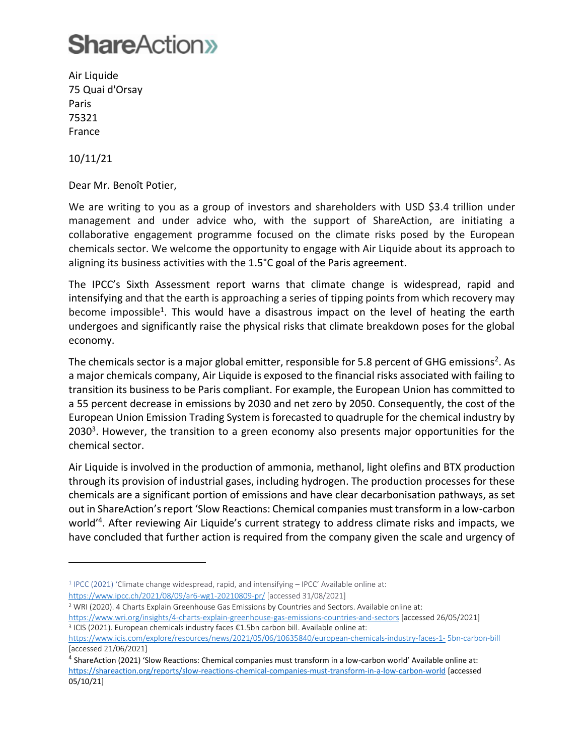Air Liquide 75 Quai d'Orsay Paris 75321 France

10/11/21

Dear Mr. Benoît Potier,

We are writing to you as a group of investors and shareholders with USD \$3.4 trillion under management and under advice who, with the support of ShareAction, are initiating a collaborative engagement programme focused on the climate risks posed by the European chemicals sector. We welcome the opportunity to engage with Air Liquide about its approach to aligning its business activities with the 1.5°C goal of the Paris agreement.

The IPCC's Sixth Assessment report warns that climate change is widespread, rapid and intensifying and that the earth is approaching a series of tipping points from which recovery may become impossible<sup>1</sup>. This would have a disastrous impact on the level of heating the earth undergoes and significantly raise the physical risks that climate breakdown poses for the global economy.

The chemicals sector is a major global emitter, responsible for 5.8 percent of GHG emissions<sup>2</sup>. As a major chemicals company, Air Liquide is exposed to the financial risks associated with failing to transition its business to be Paris compliant. For example, the European Union has committed to a 55 percent decrease in emissions by 2030 and net zero by 2050. Consequently, the cost of the European Union Emission Trading System is forecasted to quadruple for the chemical industry by 2030<sup>3</sup>. However, the transition to a green economy also presents major opportunities for the chemical sector.

Air Liquide is involved in the production of ammonia, methanol, light olefins and BTX production through its provision of industrial gases, including hydrogen. The production processes for these chemicals are a significant portion of emissions and have clear decarbonisation pathways, as set out in ShareAction's report 'Slow Reactions: Chemical companies must transform in a low-carbon world<sup>'4</sup>. After reviewing Air Liquide's current strategy to address climate risks and impacts, we have concluded that further action is required from the company given the scale and urgency of

- <sup>1</sup> IPCC (2021) 'Climate change widespread, rapid, and intensifying IPCC' Available online at: <https://www.ipcc.ch/2021/08/09/ar6-wg1-20210809-pr/> [accessed 31/08/2021]
- <sup>2</sup> WRI (2020). 4 Charts Explain Greenhouse Gas Emissions by Countries and Sectors. Available online at: <https://www.wri.org/insights/4-charts-explain-greenhouse-gas-emissions-countries-and-sectors> [accessed 26/05/2021] <sup>3</sup> ICIS (2021). European chemicals industry faces €1.5bn carbon bill. Available online at:

<https://www.icis.com/explore/resources/news/2021/05/06/10635840/european-chemicals-industry-faces-1-> 5bn-carbon-bill [accessed 21/06/2021]

<sup>4</sup> ShareAction (2021) 'Slow Reactions: Chemical companies must transform in a low-carbon world' Available online at: <https://shareaction.org/reports/slow-reactions-chemical-companies-must-transform-in-a-low-carbon-world> [accessed 05/10/21]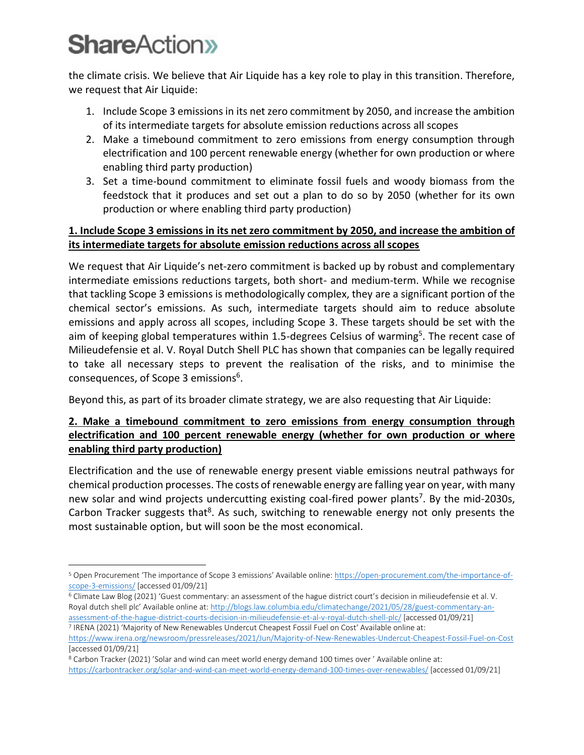the climate crisis. We believe that Air Liquide has a key role to play in this transition. Therefore, we request that Air Liquide:

- 1. Include Scope 3 emissions in its net zero commitment by 2050, and increase the ambition of its intermediate targets for absolute emission reductions across all scopes
- 2. Make a timebound commitment to zero emissions from energy consumption through electrification and 100 percent renewable energy (whether for own production or where enabling third party production)
- 3. Set a time-bound commitment to eliminate fossil fuels and woody biomass from the feedstock that it produces and set out a plan to do so by 2050 (whether for its own production or where enabling third party production)

#### **1. Include Scope 3 emissions in its net zero commitment by 2050, and increase the ambition of its intermediate targets for absolute emission reductions across all scopes**

We request that Air Liquide's net-zero commitment is backed up by robust and complementary intermediate emissions reductions targets, both short- and medium-term. While we recognise that tackling Scope 3 emissions is methodologically complex, they are a significant portion of the chemical sector's emissions. As such, intermediate targets should aim to reduce absolute emissions and apply across all scopes, including Scope 3. These targets should be set with the aim of keeping global temperatures within 1.5-degrees Celsius of warming<sup>5</sup>. The recent case of Milieudefensie et al. V. Royal Dutch Shell PLC has shown that companies can be legally required to take all necessary steps to prevent the realisation of the risks, and to minimise the consequences, of Scope 3 emissions<sup>6</sup>.

Beyond this, as part of its broader climate strategy, we are also requesting that Air Liquide:

#### **2. Make a timebound commitment to zero emissions from energy consumption through electrification and 100 percent renewable energy (whether for own production or where enabling third party production)**

Electrification and the use of renewable energy present viable emissions neutral pathways for chemical production processes. The costs of renewable energy are falling year on year, with many new solar and wind projects undercutting existing coal-fired power plants<sup>7</sup>. By the mid-2030s, Carbon Tracker suggests that<sup>8</sup>. As such, switching to renewable energy not only presents the most sustainable option, but will soon be the most economical.

<sup>6</sup> Climate Law Blog (2021) 'Guest commentary: an assessment of the hague district court's decision in milieudefensie et al. V. Royal dutch shell plc' Available online at: [http://blogs.law.columbia.edu/climatechange/2021/05/28/guest-commentary-an](http://blogs.law.columbia.edu/climatechange/2021/05/28/guest-commentary-an-assessment-of-the-hague-district-courts-decision-in-milieudefensie-et-al-v-royal-dutch-shell-plc/)[assessment-of-the-hague-district-courts-decision-in-milieudefensie-et-al-v-royal-dutch-shell-plc/](http://blogs.law.columbia.edu/climatechange/2021/05/28/guest-commentary-an-assessment-of-the-hague-district-courts-decision-in-milieudefensie-et-al-v-royal-dutch-shell-plc/) [accessed 01/09/21] 7 IRENA (2021) 'Majority of New Renewables Undercut Cheapest Fossil Fuel on Cost' Available online at:

<sup>5</sup> Open Procurement 'The importance of Scope 3 emissions' Available online: [https://open-procurement.com/the-importance-of](https://open-procurement.com/the-importance-of-scope-3-emissions/)[scope-3-emissions/](https://open-procurement.com/the-importance-of-scope-3-emissions/) [accessed 01/09/21]

<https://www.irena.org/newsroom/pressreleases/2021/Jun/Majority-of-New-Renewables-Undercut-Cheapest-Fossil-Fuel-on-Cost> [accessed 01/09/21]

<sup>8</sup> Carbon Tracker (2021) 'Solar and wind can meet world energy demand 100 times over ' Available online at: <https://carbontracker.org/solar-and-wind-can-meet-world-energy-demand-100-times-over-renewables/> [accessed 01/09/21]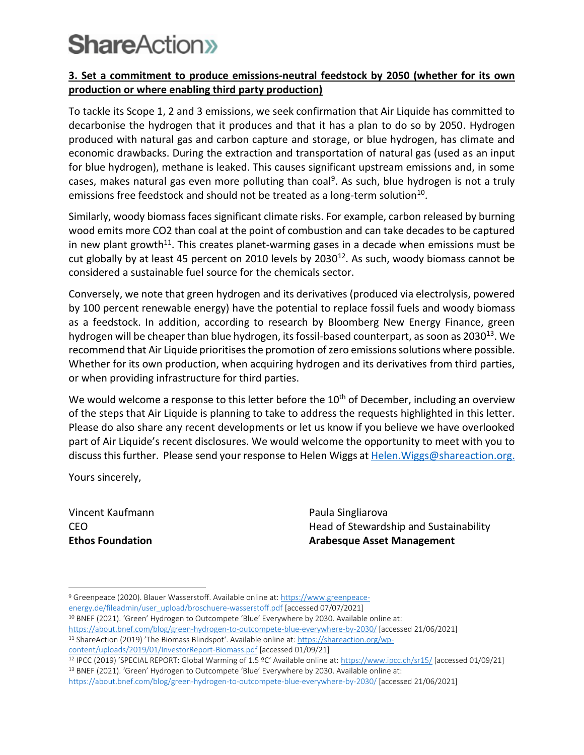#### **3. Set a commitment to produce emissions-neutral feedstock by 2050 (whether for its own production or where enabling third party production)**

To tackle its Scope 1, 2 and 3 emissions, we seek confirmation that Air Liquide has committed to decarbonise the hydrogen that it produces and that it has a plan to do so by 2050. Hydrogen produced with natural gas and carbon capture and storage, or blue hydrogen, has climate and economic drawbacks. During the extraction and transportation of natural gas (used as an input for blue hydrogen), methane is leaked. This causes significant upstream emissions and, in some cases, makes natural gas even more polluting than coal<sup>9</sup>. As such, blue hydrogen is not a truly emissions free feedstock and should not be treated as a long-term solution $^{10}$ .

Similarly, woody biomass faces significant climate risks. For example, carbon released by burning wood emits more CO2 than coal at the point of combustion and can take decades to be captured in new plant growth<sup>11</sup>. This creates planet-warming gases in a decade when emissions must be cut globally by at least 45 percent on 2010 levels by 2030<sup>12</sup>. As such, woody biomass cannot be considered a sustainable fuel source for the chemicals sector.

Conversely, we note that green hydrogen and its derivatives (produced via electrolysis, powered by 100 percent renewable energy) have the potential to replace fossil fuels and woody biomass as a feedstock. In addition, according to research by Bloomberg New Energy Finance, green hydrogen will be cheaper than blue hydrogen, its fossil-based counterpart, as soon as 2030<sup>13</sup>. We recommend that Air Liquide prioritises the promotion of zero emissions solutions where possible. Whether for its own production, when acquiring hydrogen and its derivatives from third parties, or when providing infrastructure for third parties.

We would welcome a response to this letter before the  $10<sup>th</sup>$  of December, including an overview of the steps that Air Liquide is planning to take to address the requests highlighted in this letter. Please do also share any recent developments or let us know if you believe we have overlooked part of Air Liquide's recent disclosures. We would welcome the opportunity to meet with you to discuss this further. Please send your response to Helen Wiggs at Helen. Wiggs@shareaction.org.

Yours sincerely,

Vincent Kaufmann CEO **Ethos Foundation**

Paula Singliarova Head of Stewardship and Sustainability **Arabesque Asset Management**

energy.de/fileadmin/user\_upload/broschuere-wasserstoff.pdf [accessed 07/07/2021]

<sup>10</sup> BNEF (2021). 'Green' Hydrogen to Outcompete 'Blue' Everywhere by 2030. Available online at:

<sup>9</sup> Greenpeace (2020). Blauer Wasserstoff. Available online at[: https://www.greenpeace-](https://www.greenpeace-/)

<https://about.bnef.com/blog/green-hydrogen-to-outcompete-blue-everywhere-by-2030/> [accessed 21/06/2021] <sup>11</sup> ShareAction (2019) 'The Biomass Blindspot'. Available online at: [https://shareaction.org/wp](https://shareaction.org/wp-content/uploads/2019/01/InvestorReport-Biomass.pdf)[content/uploads/2019/01/InvestorReport-Biomass.pdf](https://shareaction.org/wp-content/uploads/2019/01/InvestorReport-Biomass.pdf) [accessed 01/09/21]

<sup>12</sup> IPCC (2019) 'SPECIAL REPORT: Global Warming of 1.5 ºC' Available online at: <https://www.ipcc.ch/sr15/> [accessed 01/09/21] <sup>13</sup> BNEF (2021). 'Green' Hydrogen to Outcompete 'Blue' Everywhere by 2030. Available online at:

https://about.bnef.com/blog/green-hydrogen-to-outcompete-blue-everywhere-by-2030/ [accessed 21/06/2021]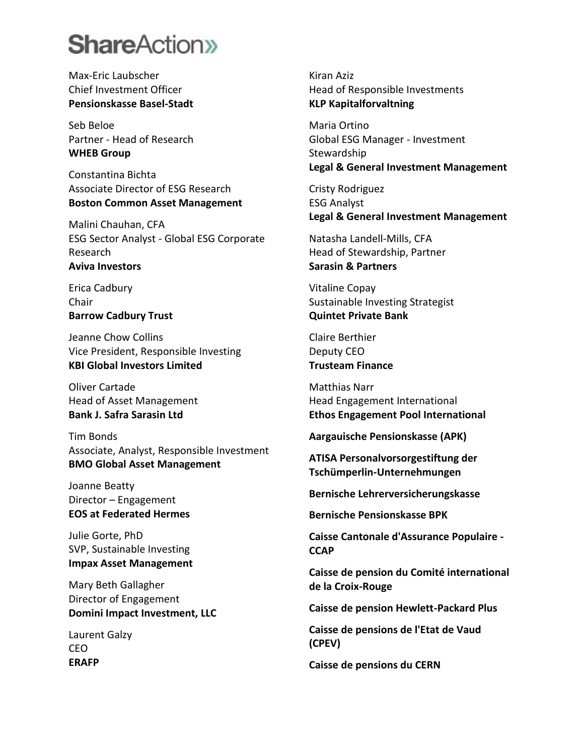Max-Eric Laubscher Chief Investment Officer **Pensionskasse Basel-Stadt**

Seb Beloe Partner - Head of Research **WHEB Group**

Constantina Bichta Associate Director of ESG Research **Boston Common Asset Management**

Malini Chauhan, CFA ESG Sector Analyst - Global ESG Corporate Research **Aviva Investors**

Erica Cadbury Chair **Barrow Cadbury Trust**

Jeanne Chow Collins Vice President, Responsible Investing **KBI Global Investors Limited**

Oliver Cartade Head of Asset Management **Bank J. Safra Sarasin Ltd**

Tim Bonds Associate, Analyst, Responsible Investment **BMO Global Asset Management**

Joanne Beatty Director – Engagement **EOS at Federated Hermes**

Julie Gorte, PhD SVP, Sustainable Investing **Impax Asset Management**

Mary Beth Gallagher Director of Engagement **Domini Impact Investment, LLC**

Laurent Galzy CEO **ERAFP**

Kiran Aziz Head of Responsible Investments **KLP Kapitalforvaltning**

Maria Ortino Global ESG Manager - Investment Stewardship **Legal & General Investment Management**

Cristy Rodriguez ESG Analyst **Legal & General Investment Management**

Natasha Landell-Mills, CFA Head of Stewardship, Partner **Sarasin & Partners**

Vitaline Copay Sustainable Investing Strategist **Quintet Private Bank**

Claire Berthier Deputy CEO **Trusteam Finance**

Matthias Narr Head Engagement International **Ethos Engagement Pool International**

**Aargauische Pensionskasse (APK)**

**ATISA Personalvorsorgestiftung der Tschümperlin-Unternehmungen**

**Bernische Lehrerversicherungskasse**

**Bernische Pensionskasse BPK**

**Caisse Cantonale d'Assurance Populaire - CCAP**

**Caisse de pension du Comité international de la Croix-Rouge**

**Caisse de pension Hewlett-Packard Plus**

**Caisse de pensions de l'Etat de Vaud (CPEV)**

**Caisse de pensions du CERN**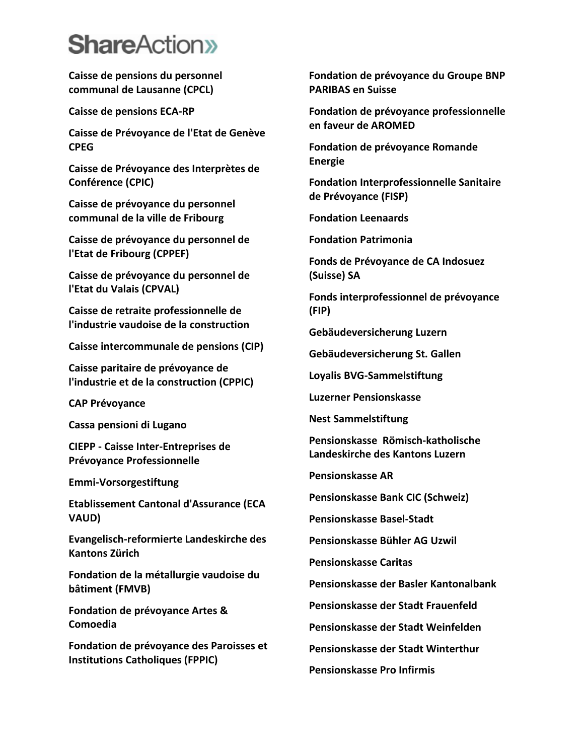**Caisse de pensions du personnel communal de Lausanne (CPCL)**

**Caisse de pensions ECA-RP**

**Caisse de Prévoyance de l'Etat de Genève CPEG**

**Caisse de Prévoyance des Interprètes de Conférence (CPIC)**

**Caisse de prévoyance du personnel communal de la ville de Fribourg**

**Caisse de prévoyance du personnel de l'Etat de Fribourg (CPPEF)**

**Caisse de prévoyance du personnel de l'Etat du Valais (CPVAL)**

**Caisse de retraite professionnelle de l'industrie vaudoise de la construction**

**Caisse intercommunale de pensions (CIP)**

**Caisse paritaire de prévoyance de l'industrie et de la construction (CPPIC)**

**CAP Prévoyance**

**Cassa pensioni di Lugano**

**CIEPP - Caisse Inter-Entreprises de Prévoyance Professionnelle**

**Emmi-Vorsorgestiftung**

**Etablissement Cantonal d'Assurance (ECA VAUD)**

**Evangelisch-reformierte Landeskirche des Kantons Zürich**

**Fondation de la métallurgie vaudoise du bâtiment (FMVB)**

**Fondation de prévoyance Artes & Comoedia**

**Fondation de prévoyance des Paroisses et Institutions Catholiques (FPPIC)**

**Fondation de prévoyance du Groupe BNP PARIBAS en Suisse**

**Fondation de prévoyance professionnelle en faveur de AROMED**

**Fondation de prévoyance Romande Energie**

**Fondation Interprofessionnelle Sanitaire de Prévoyance (FISP)**

**Fondation Leenaards**

**Fondation Patrimonia**

**Fonds de Prévoyance de CA Indosuez (Suisse) SA**

**Fonds interprofessionnel de prévoyance (FIP)**

**Gebäudeversicherung Luzern**

**Gebäudeversicherung St. Gallen**

**Loyalis BVG-Sammelstiftung**

**Luzerner Pensionskasse**

**Nest Sammelstiftung**

**Pensionskasse Römisch-katholische Landeskirche des Kantons Luzern**

**Pensionskasse AR**

**Pensionskasse Bank CIC (Schweiz)**

**Pensionskasse Basel-Stadt**

**Pensionskasse Bühler AG Uzwil**

**Pensionskasse Caritas**

**Pensionskasse der Basler Kantonalbank**

**Pensionskasse der Stadt Frauenfeld**

**Pensionskasse der Stadt Weinfelden**

**Pensionskasse der Stadt Winterthur**

**Pensionskasse Pro Infirmis**